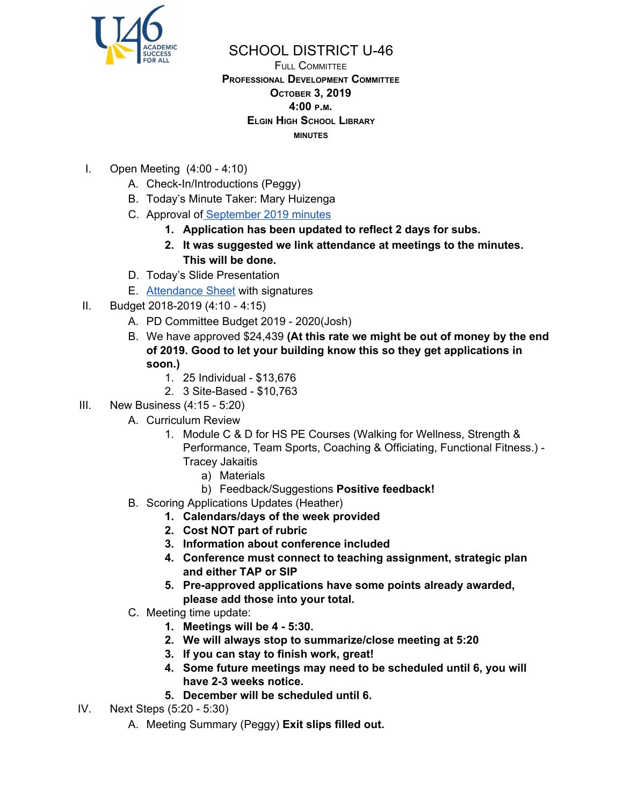

SCHOOL DISTRICT U-46

FULL COMMITTEE **PROFESSIONAL DEVELOPMENT COMMITTEE OCTOBER 3, 2019 4:00 <sup>P</sup>.M. ELGIN HIGH SCHOOL LIBRARY MINUTES**

- I. Open Meeting (4:00 4:10)
	- A. Check-In/Introductions (Peggy)
	- B. Today's Minute Taker: Mary Huizenga
	- C. Approval of [September](https://www.u-46.org/site/handlers/filedownload.ashx?moduleinstanceid=23441&dataid=35522&FileName=9-5-19%20MInutes.pdf) 2019 minutes
		- **1. Application has been updated to reflect 2 days for subs.**
		- **2. It was suggested we link attendance at meetings to the minutes. This will be done.**
	- D. Today's Slide Presentation
	- E. [Attendance](https://drive.google.com/file/d/1jGZoBrLvlei4at1l6qoKioeEyhA-Oog4/view?usp=sharing) Sheet with signatures
- II. Budget 2018-2019 (4:10 4:15)
	- A. PD Committee Budget 2019 2020(Josh)
	- B. We have approved \$24,439 **(At this rate we might be out of money by the end of 2019. Good to let your building know this so they get applications in soon.)**
		- 1. 25 Individual \$13,676
		- 2. 3 Site-Based \$10,763
- III. New Business (4:15 5:20)
	- A. Curriculum Review
		- 1. Module C & D for HS PE Courses (Walking for Wellness, Strength & Performance, Team Sports, Coaching & Officiating, Functional Fitness.) - Tracey Jakaitis
			- a) Materials
			- b) Feedback/Suggestions **Positive feedback!**
	- B. Scoring Applications Updates (Heather)
		- **1. Calendars/days of the week provided**
		- **2. Cost NOT part of rubric**
		- **3. Information about conference included**
		- **4. Conference must connect to teaching assignment, strategic plan and either TAP or SIP**
		- **5. Pre-approved applications have some points already awarded, please add those into your total.**
	- C. Meeting time update:
		- **1. Meetings will be 4 - 5:30.**
		- **2. We will always stop to summarize/close meeting at 5:20**
		- **3. If you can stay to finish work, great!**
		- **4. Some future meetings may need to be scheduled until 6, you will have 2-3 weeks notice.**
		- **5. December will be scheduled until 6.**
- IV. Next Steps (5:20 5:30)
	- A. Meeting Summary (Peggy) **Exit slips filled out.**